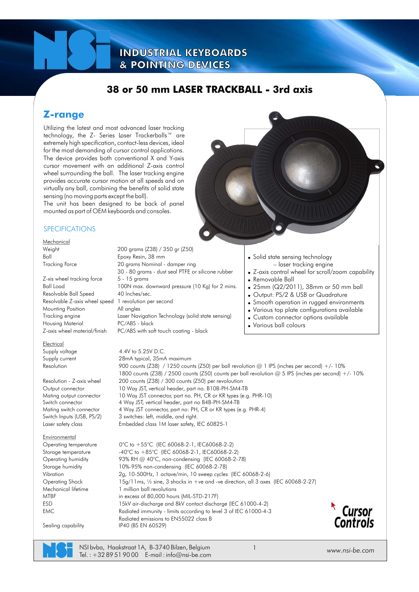### **38 or 50 mm LASER TRACKBALL - 3rd axis**

### **Z-range**

Utilizing the latest and most advanced laser tracking technology, the Z- Series Laser Trackerballs™ are extremely high specification, contact-less devices, ideal for the most demanding of cursor control applications. The device provides both conventional X and Y-axis cursor movement with an additional Z-axis control wheel surrounding the ball. The laser tracking engine provides accurate cursor motion at all speeds and on virtually any ball, combining the benefits of solid state sensing (no moving parts except the ball).

The unit has been designed to be back of panel mounted as part of OEM keyboards and consoles.

#### SPECIFICATIONS

**Mechanical** 

Z-xis wheel tracking force 5 - 15 grams Resolvable Ball Speed 40 Inches/sec. Resolvable Z-axis wheel speed 1 revolution per second Mounting Position All angles Housing Material PC/ABS - black Z-axis wheel material/finish PC/ABS with soft touch coating - black

Electrical Supply voltage 4.4V to 5.25V D.C.

**Environmental** Operating temperature Storage temperature

Sealing capability IP40 (BS EN 60529)

Weight 200 grams (Z38) / 350 gr (Z50) Ball Epoxy Resin, 38 mm Tracking Force 20 grams Nominal - damper ring 30 - 80 grams - dust seal PTFE or silicone rubber Ball Load 100N max. downward pressure (10 Kg) for 2 mins. Tracking engine Laser Navigation Technology (solid state sensing)

• Solid state sensing technology – laser tracking engine . Z-axis control wheel for scroll/zoom capability • Removable Ball • 25mm (Q2/2011), 38mm or 50 mm ball • Output: PS/2 & USB or Quadrature • Smooth operation in rugged environments . Various top plate configurations available . Custom connector options available

• Various ball colours

Mating output connector 10 Way JST connector, part no. PH, CR or KR types (e.g. PHR-10)<br>Switch connector 4 Way JST. vertical header, part no B4B-PH-SM4-TB 4 Way JST, vertical header, part no B4B-PH-SM4-TB Mating switch connector 4 Way JST connector, part no: PH, CR or KR types (e.g. PHR-4) Supply current 28mA typical, 35mA maximum<br>Resolution 200 counts (738) / 1250 counts 900 counts (Z38) / 1250 counts (Z50) per ball revolution @ 1 IPS (inches per second) +/- 10% 1800 counts (Z38) / 2500 counts (Z50) counts per ball revolution @ 5 IPS (inches per second) +/- 10% Resolution - Z-axis wheel 200 counts (Z38) / 300 counts (Z50) per revoloution Output connector 10 Way JST, vertical header, part no. B10B-PH-SM4-TB Switch Inputs (USB, PS/2) 3 switches: left, middle, and right. Laser safety class Embedded class 1M laser safety, IEC 60825-1

0°C to +55°C (IEC 60068-2-1, IEC60068-2-2) -40°C to +85°C (IEC 60068-2-1, IEC60068-2-2) Operating humidity 93% RH @ 40°C, non-condensing (IEC 60068-2-78) (IEC 60068-2-78) Storage humidity 10%-95% non-condensing (IEC 60068-2-6) Vibration 2g, 10-500Hz, 1 octave/min, 10 sweep cycles (IEC 60068-2-27) Operating Shock 15g/11ms, ½ sine, 3 shocks in +ve and -ve direction, all 3 axes Mechanical lifetime 1 million ball revolutions MTBF in excess of 80,000 hours (MIL-STD-217F)<br>ESD 15kV air-discharge and 8kV contact discha 15kV air-discharge and 8kV contact discharge (IEC 61000-4-2) EMC Radiated immunity - limits according to level 3 of IEC 61000-4-3 Radiated emissions to EN55022 class B



NSI bvba, Haakstraat 1A, B-3740 Bilzen, Belgium Tel.:  $+3289519000$  E-mail: info@nsi-be.com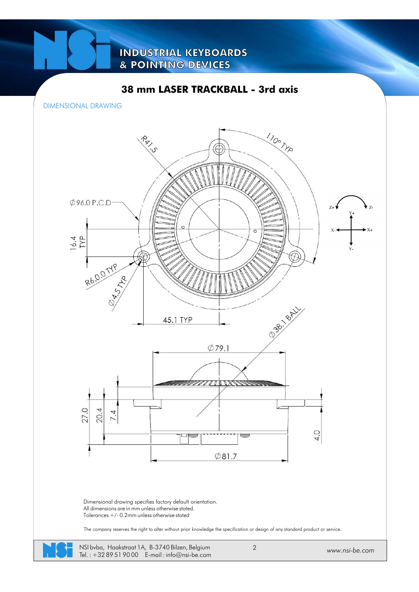### **38 mm LASER TRACKBALL - 3rd axis**

DIMENSIONAL DRAWING



Tel. : +32 89 51 90 00 E-mail : info@nsi-be.com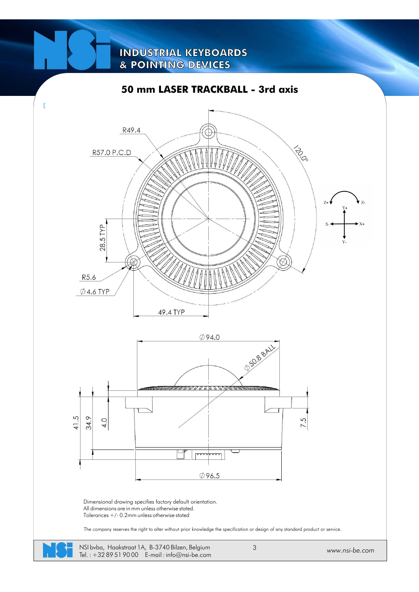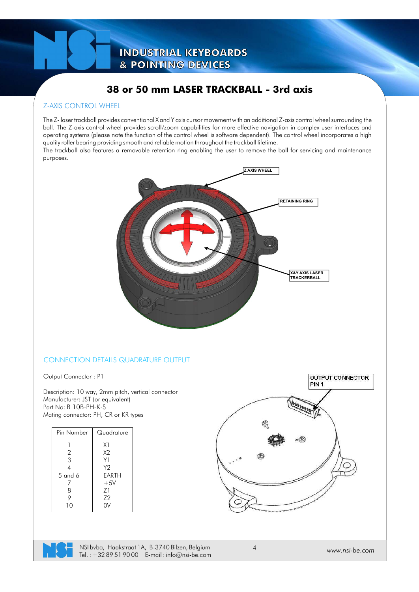### **38 or 50 mm LASER TRACKBALL - 3rd axis**

#### Z-AXIS CONTROL WHEEL

The Z- laser trackball provides conventional X and Y axis cursor movement with an additional Z-axis control wheel surrounding the ball. The Z-axis control wheel provides scroll/zoom capabilities for more effective navigation in complex user interfaces and operating systems (please note the function of the control wheel is software dependent). The control wheel incorporates a high quality roller bearing providing smooth and reliable motion throughout the trackball lifetime.

The trackball also features a removable retention ring enabling the user to remove the ball for servicing and maintenance purposes.



#### CONNECTION DETAILS QUADRATURE OUTPUT

Output Connector : P1

Description: 10 way, 2mm pitch, vertical connector Manufacturer: JST (or equivalent) Part No: B 10B-PH-K-S Mating connector: PH, CR or KR types

| Pin Number | Quadrature |
|------------|------------|
|            | X1         |
| 2          | X2         |
| 3          | Y1         |
|            | Y2         |
| $5$ and 6  | FARTH      |
|            | $+5V$      |
| 8          | Z۱         |
| 9          | 72         |
| 10         | V          |
|            |            |



NSI bvba, Haakstraat 1A, B-3740 Bilzen, Belgium Tel.:  $+3289519000$  E-mail: info@nsi-be.com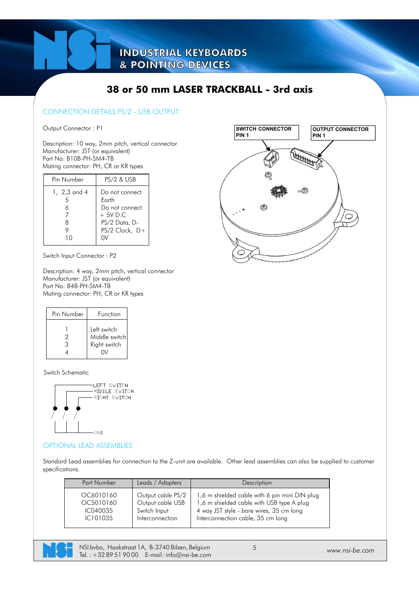### **38 or 50 mm LASER TRACKBALL - 3rd axis**

#### CONNECTION DETAILS PS/2 - USB OUTPUT

Output Connector : P1

Description: 10 way, 2mm pitch, vertical connector Manufacturer: JST (or equivalent) Part No: B10B-PH-SM4-TB Mating connector: PH, CR or KR types

| Pin Number        | <b>PS/2 &amp; USB</b>                                                                         |
|-------------------|-----------------------------------------------------------------------------------------------|
| 1, 2,3 and 4<br>8 | Do not connect<br>Farth<br>Do not connect<br>$+5V$ D.C<br>PS/2 Data, D-<br>$PS/2$ Clock, $D+$ |

Switch Input Connector : P2

Description: 4 way, 2mm pitch, vertical connector Manufacturer: JST (or equivalent) Part No: B4B-PH-SM4-TB Mating connector: PH, CR or KR types

| Pin Number | Function                                     |
|------------|----------------------------------------------|
| 2<br>3     | Left switch<br>Middle switch<br>Right switch |

Switch Schematic



#### OPTIONAL LEAD ASSEMBLIES

Standard Lead assemblies for connection to the Z-unit are available. Other lead assemblies can also be supplied to customer specifications.

| Part Number | Leads / Adapters  | Description                                   |
|-------------|-------------------|-----------------------------------------------|
| OC6010160   | Output cable PS/2 | 1,6 m shielded cable with 6 pin mini DIN plug |
| OC5010160   | Output cable USB  | 1,6 m shielded cable with USB type A plug     |
| IC040035    | Switch Input      | 4 way JST style - bare wires, 35 cm long      |
| IC101035    | Interconnection   | Interconnection cable, 35 cm long             |



NSI bvba, Haakstraat 1A, B-3740 Bilzen, Belgium Tel. : +32 89 51 90 00 E-mail : info@nsi-be.com *www.nsi-be.com*